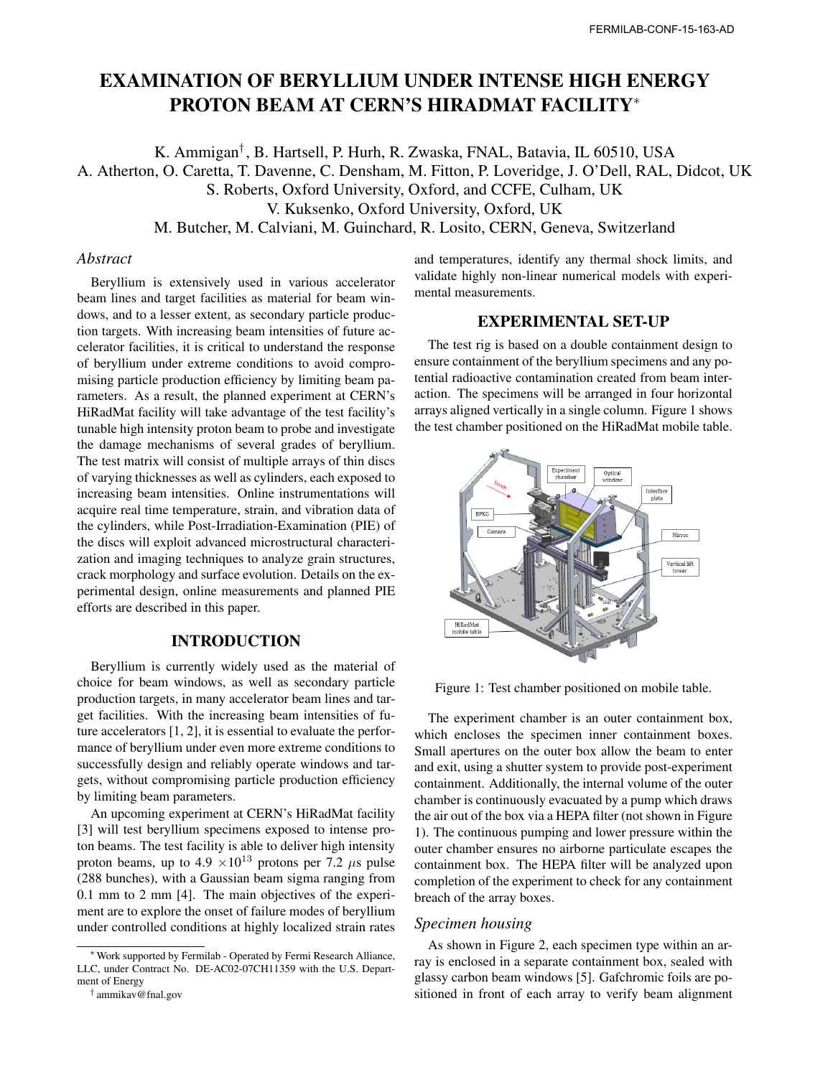# EXAMINATION OF BERYLLIUM UNDER INTENSE HIGH ENERGY PROTON BEAM AT CERN'S HIRADMAT FACILITY*<sup>∗</sup>*

K. Ammigan*†* , B. Hartsell, P. Hurh, R. Zwaska, FNAL, Batavia, IL 60510, USA A. Atherton, O. Caretta, T. Davenne, C. Densham, M. Fitton, P. Loveridge, J. O'Dell, RAL, Didcot, UK S. Roberts, Oxford University, Oxford, and CCFE, Culham, UK V. Kuksenko, Oxford University, Oxford, UK M. Butcher, M. Calviani, M. Guinchard, R. Losito, CERN, Geneva, Switzerland

#### *Abstract*

Beryllium is extensively used in various accelerator beam lines and target facilities as material for beam windows, and to a lesser extent, as secondary particle production targets. With increasing beam intensities of future accelerator facilities, it is critical to understand the response of beryllium under extreme conditions to avoid compromising particle production efficiency by limiting beam parameters. As a result, the planned experiment at CERN's HiRadMat facility will take advantage of the test facility's tunable high intensity proton beam to probe and investigate the damage mechanisms of several grades of beryllium. The test matrix will consist of multiple arrays of thin discs of varying thicknesses as well as cylinders, each exposed to increasing beam intensities. Online instrumentations will acquire real time temperature, strain, and vibration data of the cylinders, while Post-Irradiation-Examination (PIE) of the discs will exploit advanced microstructural characterization and imaging techniques to analyze grain structures, crack morphology and surface evolution. Details on the experimental design, online measurements and planned PIE efforts are described in this paper.

## INTRODUCTION

Beryllium is currently widely used as the material of choice for beam windows, as well as secondary particle production targets, in many accelerator beam lines and target facilities. With the increasing beam intensities of future accelerators [1, 2], it is essential to evaluate the performance of beryllium under even more extreme conditions to successfully design and reliably operate windows and targets, without compromising particle production efficiency by limiting beam parameters.

An upcoming experiment at CERN's HiRadMat facility [3] will test beryllium specimens exposed to intense proton beams. The test facility is able to deliver high intensity proton beams, up to  $4.9 \times 10^{13}$  protons per 7.2  $\mu$ s pulse (288 bunches), with a Gaussian beam sigma ranging from 0.1 mm to 2 mm [4]. The main objectives of the experiment are to explore the onset of failure modes of beryllium under controlled conditions at highly localized strain rates and temperatures, identify any thermal shock limits, and validate highly non-linear numerical models with experimental measurements.

## EXPERIMENTAL SET-UP

The test rig is based on a double containment design to ensure containment of the beryllium specimens and any potential radioactive contamination created from beam interaction. The specimens will be arranged in four horizontal arrays aligned vertically in a single column. Figure 1 shows the test chamber positioned on the HiRadMat mobile table.



Figure 1: Test chamber positioned on mobile table.

The experiment chamber is an outer containment box, which encloses the specimen inner containment boxes. Small apertures on the outer box allow the beam to enter and exit, using a shutter system to provide post-experiment containment. Additionally, the internal volume of the outer chamber is continuously evacuated by a pump which draws the air out of the box via a HEPA filter (not shown in Figure 1). The continuous pumping and lower pressure within the outer chamber ensures no airborne particulate escapes the containment box. The HEPA filter will be analyzed upon completion of the experiment to check for any containment breach of the array boxes.

## *Specimen housing*

As shown in Figure 2, each specimen type within an array is enclosed in a separate containment box, sealed with glassy carbon beam windows [5]. Gafchromic foils are positioned in front of each array to verify beam alignment

*<sup>∗</sup>*Work supported by Fermilab - Operated by Fermi Research Alliance, LLC, under Contract No. DE-AC02-07CH11359 with the U.S. Department of Energy

*<sup>†</sup>* ammikav@fnal.gov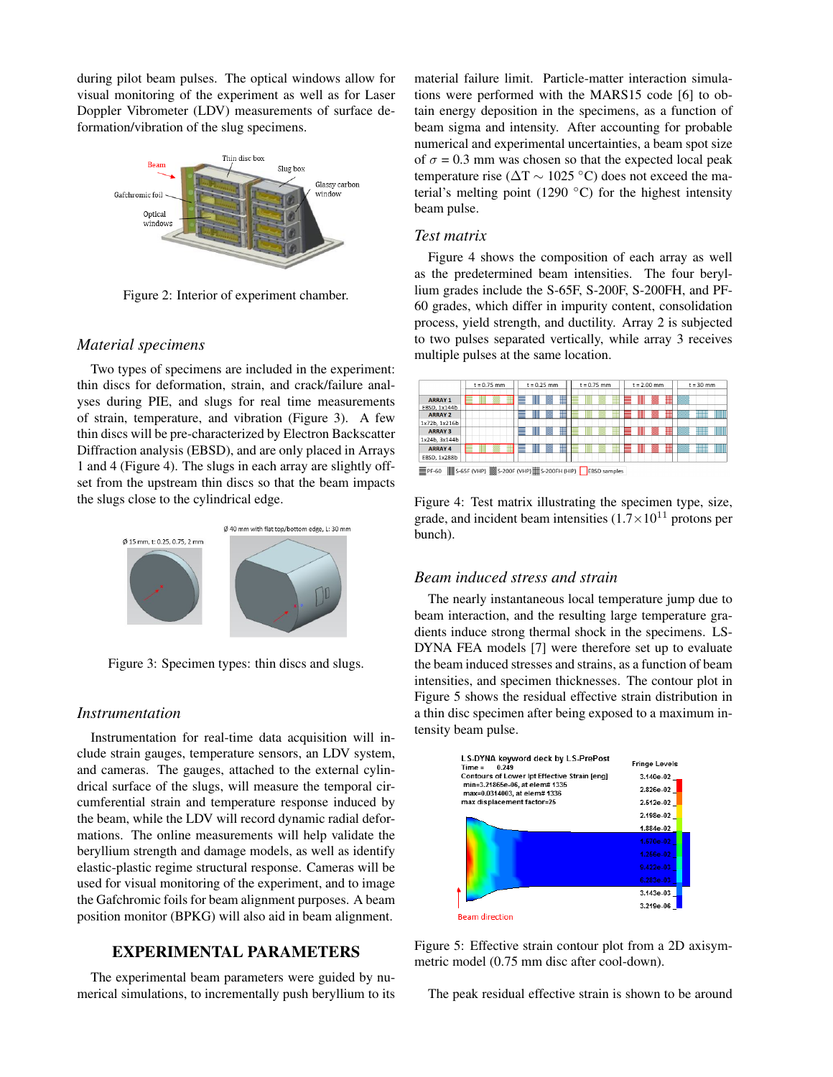during pilot beam pulses. The optical windows allow for visual monitoring of the experiment as well as for Laser Doppler Vibrometer (LDV) measurements of surface deformation/vibration of the slug specimens.



Figure 2: Interior of experiment chamber.

#### *Material specimens*

Two types of specimens are included in the experiment: thin discs for deformation, strain, and crack/failure analyses during PIE, and slugs for real time measurements of strain, temperature, and vibration (Figure 3). A few thin discs will be pre-characterized by Electron Backscatter Diffraction analysis (EBSD), and are only placed in Arrays 1 and 4 (Figure 4). The slugs in each array are slightly offset from the upstream thin discs so that the beam impacts the slugs close to the cylindrical edge.



Figure 3: Specimen types: thin discs and slugs.

#### *Instrumentation*

Instrumentation for real-time data acquisition will include strain gauges, temperature sensors, an LDV system, and cameras. The gauges, attached to the external cylindrical surface of the slugs, will measure the temporal circumferential strain and temperature response induced by the beam, while the LDV will record dynamic radial deformations. The online measurements will help validate the beryllium strength and damage models, as well as identify elastic-plastic regime structural response. Cameras will be used for visual monitoring of the experiment, and to image the Gafchromic foils for beam alignment purposes. A beam position monitor (BPKG) will also aid in beam alignment.

# EXPERIMENTAL PARAMETERS

The experimental beam parameters were guided by numerical simulations, to incrementally push beryllium to its material failure limit. Particle-matter interaction simulations were performed with the MARS15 code [6] to obtain energy deposition in the specimens, as a function of beam sigma and intensity. After accounting for probable numerical and experimental uncertainties, a beam spot size of  $\sigma$  = 0.3 mm was chosen so that the expected local peak temperature rise (∆T *∼* 1025 *◦*C) does not exceed the material's melting point (1290 *◦*C) for the highest intensity beam pulse.

#### *Test matrix*

Figure 4 shows the composition of each array as well as the predetermined beam intensities. The four beryllium grades include the S-65F, S-200F, S-200FH, and PF-60 grades, which differ in impurity content, consolidation process, yield strength, and ductility. Array 2 is subjected to two pulses separated vertically, while array 3 receives multiple pulses at the same location.

|                                                                                                                                                                                                                                                                                                                                         | $t = 0.75$ mm | $t = 0.25$ mm | $t = 0.75$ mm | $t = 2.00$ mm | $t = 30$ mm |
|-----------------------------------------------------------------------------------------------------------------------------------------------------------------------------------------------------------------------------------------------------------------------------------------------------------------------------------------|---------------|---------------|---------------|---------------|-------------|
| <b>ARRAY 1</b>                                                                                                                                                                                                                                                                                                                          |               | ▉<br>Ш<br>▒   |               | ▦<br>WI       |             |
| EBSD, 1x144b<br><b>ARRAY 2</b>                                                                                                                                                                                                                                                                                                          |               | B<br>∭        |               | ▦<br>Ⅲ        | WW<br>▓▓    |
| 1x72b, 1x216b                                                                                                                                                                                                                                                                                                                           |               |               |               |               |             |
| <b>ARRAY 3</b>                                                                                                                                                                                                                                                                                                                          |               | ▦<br>Ⅲ        |               | ▉<br>Ⅲ        | IIIII<br>█▊ |
| 1x24b, 3x144b                                                                                                                                                                                                                                                                                                                           |               |               |               |               |             |
| <b>ARRAY 4</b>                                                                                                                                                                                                                                                                                                                          |               | ∎<br>Ⅲ<br>▩   |               | ▉<br>W        | IIIII<br>▓▓ |
| EBSD, 1x288b                                                                                                                                                                                                                                                                                                                            |               |               |               |               |             |
| $\mathbb{H}$ $\mathbb{H}$ $\mathbb{H}$ $\mathbb{H}$ $\mathbb{H}$ $\mathbb{H}$ $\mathbb{H}$ $\mathbb{H}$ $\mathbb{H}$ $\mathbb{H}$ $\mathbb{H}$ $\mathbb{H}$ $\mathbb{H}$ $\mathbb{H}$ $\mathbb{H}$ $\mathbb{H}$ $\mathbb{H}$ $\mathbb{H}$ $\mathbb{H}$ $\mathbb{H}$ $\mathbb{H}$ $\mathbb{H}$ $\mathbb{H}$ $\mathbb{H}$ $\mathbb{$<br>= |               |               |               |               |             |

Figure 4: Test matrix illustrating the specimen type, size, grade, and incident beam intensities  $(1.7 \times 10^{11} \text{ protons per})$ bunch).

#### *Beam induced stress and strain*

The nearly instantaneous local temperature jump due to beam interaction, and the resulting large temperature gradients induce strong thermal shock in the specimens. LS-DYNA FEA models [7] were therefore set up to evaluate the beam induced stresses and strains, as a function of beam intensities, and specimen thicknesses. The contour plot in Figure 5 shows the residual effective strain distribution in a thin disc specimen after being exposed to a maximum intensity beam pulse.



Figure 5: Effective strain contour plot from a 2D axisymmetric model (0.75 mm disc after cool-down).

The peak residual effective strain is shown to be around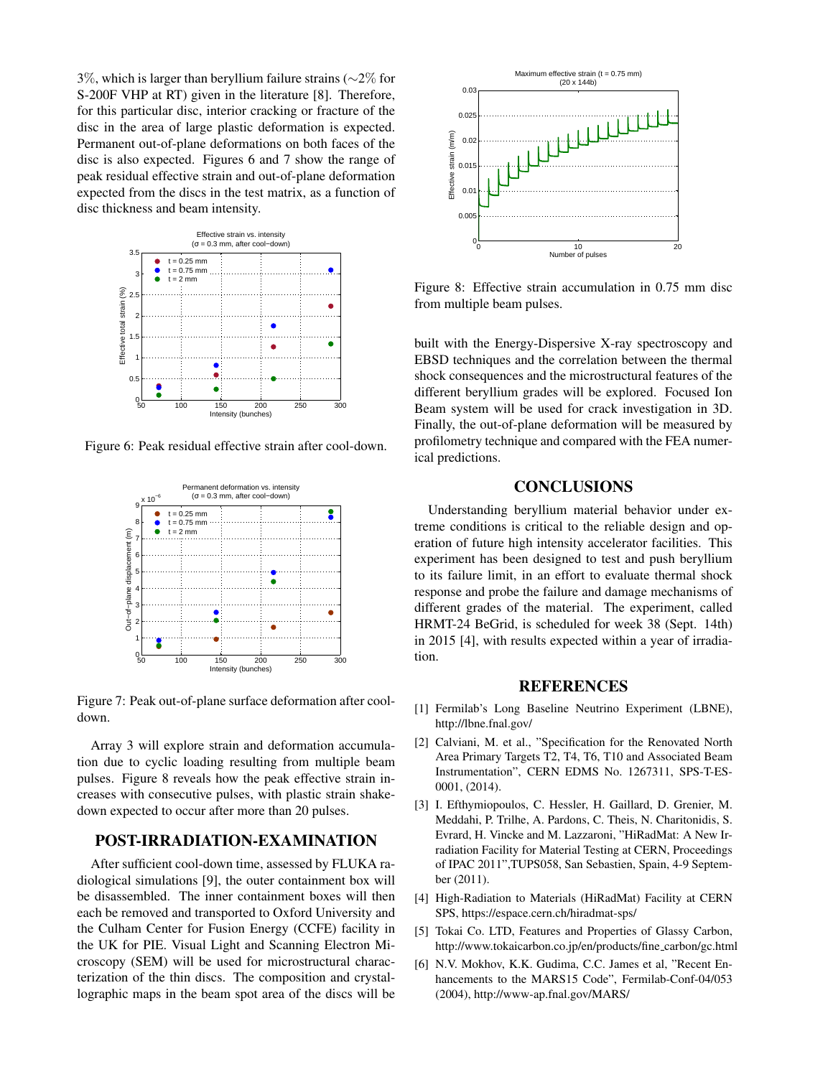3%, which is larger than beryllium failure strains (*∼*2% for S-200F VHP at RT) given in the literature [8]. Therefore, for this particular disc, interior cracking or fracture of the disc in the area of large plastic deformation is expected. Permanent out-of-plane deformations on both faces of the disc is also expected. Figures 6 and 7 show the range of peak residual effective strain and out-of-plane deformation expected from the discs in the test matrix, as a function of disc thickness and beam intensity.



Figure 6: Peak residual effective strain after cool-down.



Figure 7: Peak out-of-plane surface deformation after cooldown.

Array 3 will explore strain and deformation accumulation due to cyclic loading resulting from multiple beam pulses. Figure 8 reveals how the peak effective strain increases with consecutive pulses, with plastic strain shakedown expected to occur after more than 20 pulses.

## POST-IRRADIATION-EXAMINATION

After sufficient cool-down time, assessed by FLUKA radiological simulations [9], the outer containment box will be disassembled. The inner containment boxes will then each be removed and transported to Oxford University and the Culham Center for Fusion Energy (CCFE) facility in the UK for PIE. Visual Light and Scanning Electron Microscopy (SEM) will be used for microstructural characterization of the thin discs. The composition and crystallographic maps in the beam spot area of the discs will be



Figure 8: Effective strain accumulation in 0.75 mm disc from multiple beam pulses.

built with the Energy-Dispersive X-ray spectroscopy and EBSD techniques and the correlation between the thermal shock consequences and the microstructural features of the different beryllium grades will be explored. Focused Ion Beam system will be used for crack investigation in 3D. Finally, the out-of-plane deformation will be measured by profilometry technique and compared with the FEA numerical predictions.

# **CONCLUSIONS**

Understanding beryllium material behavior under extreme conditions is critical to the reliable design and operation of future high intensity accelerator facilities. This experiment has been designed to test and push beryllium to its failure limit, in an effort to evaluate thermal shock response and probe the failure and damage mechanisms of different grades of the material. The experiment, called HRMT-24 BeGrid, is scheduled for week 38 (Sept. 14th) in 2015 [4], with results expected within a year of irradiation.

#### **REFERENCES**

- [1] Fermilab's Long Baseline Neutrino Experiment (LBNE), http://lbne.fnal.gov/
- [2] Calviani, M. et al., "Specification for the Renovated North Area Primary Targets T2, T4, T6, T10 and Associated Beam Instrumentation", CERN EDMS No. 1267311, SPS-T-ES-0001, (2014).
- [3] I. Efthymiopoulos, C. Hessler, H. Gaillard, D. Grenier, M. Meddahi, P. Trilhe, A. Pardons, C. Theis, N. Charitonidis, S. Evrard, H. Vincke and M. Lazzaroni, "HiRadMat: A New Irradiation Facility for Material Testing at CERN, Proceedings of IPAC 2011",TUPS058, San Sebastien, Spain, 4-9 September (2011).
- [4] High-Radiation to Materials (HiRadMat) Facility at CERN SPS, https://espace.cern.ch/hiradmat-sps/
- [5] Tokai Co. LTD, Features and Properties of Glassy Carbon, http://www.tokaicarbon.co.jp/en/products/fine carbon/gc.html
- [6] N.V. Mokhov, K.K. Gudima, C.C. James et al, "Recent Enhancements to the MARS15 Code", Fermilab-Conf-04/053 (2004), http://www-ap.fnal.gov/MARS/